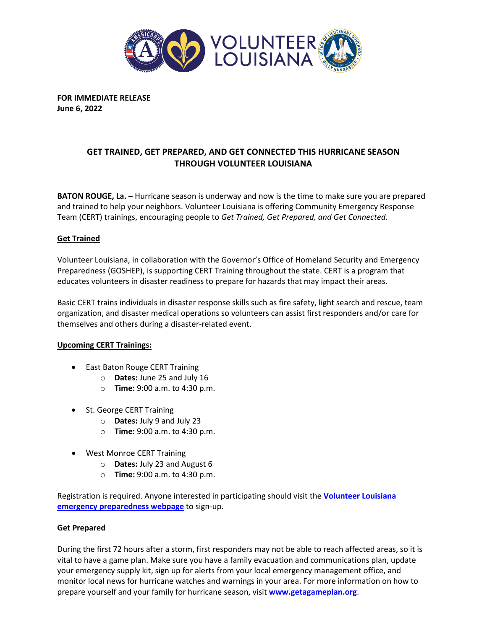

**FOR IMMEDIATE RELEASE June 6, 2022**

# **GET TRAINED, GET PREPARED, AND GET CONNECTED THIS HURRICANE SEASON THROUGH VOLUNTEER LOUISIANA**

**BATON ROUGE, La.** – Hurricane season is underway and now is the time to make sure you are prepared and trained to help your neighbors. Volunteer Louisiana is offering Community Emergency Response Team (CERT) trainings, encouraging people to *Get Trained, Get Prepared, and Get Connected*.

## **Get Trained**

Volunteer Louisiana, in collaboration with the Governor's Office of Homeland Security and Emergency Preparedness (GOSHEP), is supporting CERT Training throughout the state. CERT is a program that educates volunteers in disaster readiness to prepare for hazards that may impact their areas.

Basic CERT trains individuals in disaster response skills such as fire safety, light search and rescue, team organization, and disaster medical operations so volunteers can assist first responders and/or care for themselves and others during a disaster-related event.

#### **Upcoming CERT Trainings:**

- East Baton Rouge CERT Training
	- o **Dates:** June 25 and July 16
	- o **Time:** 9:00 a.m. to 4:30 p.m.
- St. George CERT Training
	- o **Dates:** July 9 and July 23
	- o **Time:** 9:00 a.m. to 4:30 p.m.
- West Monroe CERT Training
	- o **Dates:** July 23 and August 6
	- o **Time:** 9:00 a.m. to 4:30 p.m.

Registration is required. Anyone interested in participating should visit the **[Volunteer Louisiana](http://www.volunteerlouisiana.gov/disaster-services/emergency-preparedness)  [emergency preparedness webpage](http://www.volunteerlouisiana.gov/disaster-services/emergency-preparedness)** to sign-up.

#### **Get Prepared**

During the first 72 hours after a storm, first responders may not be able to reach affected areas, so it is vital to have a game plan. Make sure you have a family evacuation and communications plan, update your emergency supply kit, sign up for alerts from your local emergency management office, and monitor local news for hurricane watches and warnings in your area. For more information on how to prepare yourself and your family for hurricane season, visit **[www.getagameplan.org](http://www.getagameplan.org/)**.